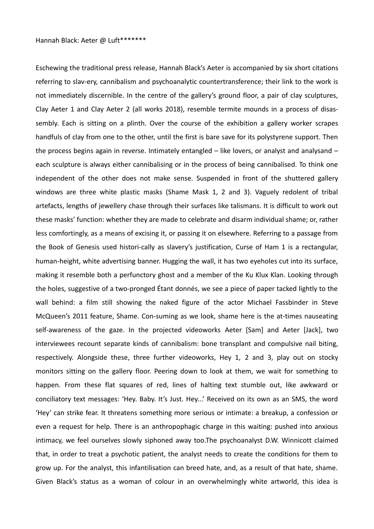Eschewing the traditional press release, Hannah Black's Aeter is accompanied by six short citations referring to slav-ery, cannibalism and psychoanalytic countertransference; their link to the work is not immediately discernible. In the centre of the gallery's ground floor, a pair of clay sculptures, Clay Aeter 1 and Clay Aeter 2 (all works 2018), resemble termite mounds in a process of disassembly. Each is sitting on a plinth. Over the course of the exhibition a gallery worker scrapes handfuls of clay from one to the other, until the first is bare save for its polystyrene support. Then the process begins again in reverse. Intimately entangled – like lovers, or analyst and analysand – each sculpture is always either cannibalising or in the process of being cannibalised. To think one independent of the other does not make sense. Suspended in front of the shuttered gallery windows are three white plastic masks (Shame Mask 1, 2 and 3). Vaguely redolent of tribal artefacts, lengths of jewellery chase through their surfaces like talismans. It is difficult to work out these masks' function: whether they are made to celebrate and disarm individual shame; or, rather less comfortingly, as a means of excising it, or passing it on elsewhere. Referring to a passage from the Book of Genesis used histori-cally as slavery's justification, Curse of Ham 1 is a rectangular, human-height, white advertising banner. Hugging the wall, it has two eyeholes cut into its surface, making it resemble both a perfunctory ghost and a member of the Ku Klux Klan. Looking through the holes, suggestive of a two-pronged Étant donnés, we see a piece of paper tacked lightly to the wall behind: a film still showing the naked figure of the actor Michael Fassbinder in Steve McQueen's 2011 feature, Shame. Con-suming as we look, shame here is the at-times nauseating self-awareness of the gaze. In the projected videoworks Aeter [Sam] and Aeter [Jack], two interviewees recount separate kinds of cannibalism: bone transplant and compulsive nail biting, respectively. Alongside these, three further videoworks, Hey 1, 2 and 3, play out on stocky monitors sitting on the gallery floor. Peering down to look at them, we wait for something to happen. From these flat squares of red, lines of halting text stumble out, like awkward or conciliatory text messages: 'Hey. Baby. It's Just. Hey...' Received on its own as an SMS, the word 'Hey' can strike fear. It threatens something more serious or intimate: a breakup, a confession or even a request for help. There is an anthropophagic charge in this waiting: pushed into anxious intimacy, we feel ourselves slowly siphoned away too.The psychoanalyst D.W. Winnicott claimed that, in order to treat a psychotic patient, the analyst needs to create the conditions for them to grow up. For the analyst, this infantilisation can breed hate, and, as a result of that hate, shame. Given Black's status as a woman of colour in an overwhelmingly white artworld, this idea is